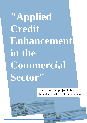**"Applied Credit Enhancement in the Commercial Sector"**

> How to get your project in funds through applied Credit Enhancement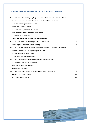# **"Applied Credit Enhancement in the Commercial Sector"**

|                                                                                         | SECTION 1 - Probably the only way to get access to valid credit enhancement collateral 3 |  |
|-----------------------------------------------------------------------------------------|------------------------------------------------------------------------------------------|--|
|                                                                                         |                                                                                          |  |
|                                                                                         |                                                                                          |  |
|                                                                                         |                                                                                          |  |
|                                                                                         |                                                                                          |  |
|                                                                                         |                                                                                          |  |
|                                                                                         |                                                                                          |  |
|                                                                                         |                                                                                          |  |
|                                                                                         |                                                                                          |  |
|                                                                                         |                                                                                          |  |
| SECTION 3 - You cannot expect a professional service without a financial commitment  11 |                                                                                          |  |
|                                                                                         |                                                                                          |  |
|                                                                                         |                                                                                          |  |
|                                                                                         |                                                                                          |  |
|                                                                                         |                                                                                          |  |
|                                                                                         |                                                                                          |  |
|                                                                                         |                                                                                          |  |
|                                                                                         |                                                                                          |  |
|                                                                                         |                                                                                          |  |
|                                                                                         |                                                                                          |  |
|                                                                                         |                                                                                          |  |

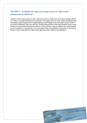# <span id="page-2-0"></span>**SECTION 1 - Probably the only way to get access to valid credit enhancement collateral**

Applied Credit Enhancement in the Commercial Sector: When you do a quick Google search on "what is a credit enhancement in finance?" the result refers to some "*financial engineering techniques which improve the Creditworthiness and Rating of the securities issued"*. And if you check Wikipedia, then you will find *"Credit enhancement is the improvement of the credit profile of a structured financial transaction or the methods used to improve the credit profiles of such products or transactions. It is a key part of the securitization transaction in structured finance, and is important for credit rating agencies when rating a securitization."*

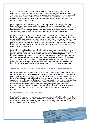Credit Enhancement in the commercial sector is different. When referring to Credit Enhancement in the commercial sector, banks lend money against financial instruments which have been generated for a specific purpose and period of time and can be borrowed from a collateral owner, usually an investor. This generates credit enhancement and leverages a client's financial possibilities in an exponential way, backing up a credit line and enabling liquidity to build a project.

For the client's bank the business is "round". The bank issues a credit line that has the backing of a prime bank, evidenced in the form of a financial guarantee instrument. The project is building up collateral value by itself, as it advances towards completion. The client's bank has zero risk in funding this commercial transaction which is very profitable to them. They will charge the client annual interests on the credit line as well commissions.

On the other hand, the bank is supportive and helps to build additional value as the client builds the project. Obviously, the funds go directly into the development of the project. As the project is building up to completion or a stage of operation, its own collateral value increases and the bank utilizes the increased collateral value to further extend the credit line. The project represents collateral value by itself. This also enables the replacement of third party collateral that has been borrowed and which will be obsolete once it is replaced by the project's own collateral value.

Forget all what you have heard about leasing a bank instrument. Securities Borrowing and Lending is completely different. It is probably the only way that you can expect a third party to provide you with a valid, fully verifiable cash backed, divisible and assignable Bank Guarantee or Standby Letter of Credit. This is the only realistic and genuine option to have a third party issue a genuine financial instrument for a borrower who might not yet have the financial capacity and background. If your bank is supportive and asks you to provide collateral to support a loan, then Securities Borrowing and Lending is probably the only way in which you can access financial collateral and benefit from a prime bank instrument.

### <span id="page-3-0"></span>**Securities and an Investor's cash back up an SBLC or a Bank Guarantee.**

Financial Instruments from Euro 10 million to Euro 500 million are generated and issued and backed by highly rated Certificates of Debt (listed and rated Securities), which can be MTN, Bond, an Europaper, or a Commercial Paper. These instruments are publicly listed, identified by an official ISIN (International Securities Identification Number) and are traded in the secondary market (Bloomberg, Euroclear, etc. ) These securities can be traced and checked online by the client and his bank. These seasoned Bonds and/or MTNs are purchased directly by an investor (the Lender) to be leant during the agreed upon period to the borrower. If the client needs a BG/SBLC, the lender will purchase the Bond/MTN and will issue a BG/SBLC backed by this Bond/MTN through his own bank (a top bank) for the borrower.

#### <span id="page-3-1"></span>**So here is the background of the deal!**

High Net Worth Investors buy highly rated bonds and securities. The higher the rating of a bond, the lower is the yield of a bond obviously. Lower risk for an investor usually results in lower yields and Securities Borrowing and Lending can leverage the overall return on a highly rated security for an investor.

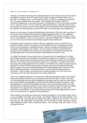#### <span id="page-4-0"></span>**Where is the Lender's business?**

Through a Securities Borrowing and Lending transaction, the investors' annual return can be leveraged to a great extend! An investor buys specific securities and lends them out to a borrower, for example to you, in the format of an SBLC or BG for an agreed upon period of time. You pay a lending fee to the investor. This leverages the investor's Return of Investment significantly. A top rated bond with an annual yield of 3% can now return probably 12% or more per annum. This is a more than optimal performance, with high security since the operation is carried out bank to bank against a prior commitment of the receiving bank for the payment of the lending fees as well as the return of the instrument at the agreed time.

Based on the purchase of clearly identified highly rated bonds, MTNs and other securities of an investor and a Securities Borrowing and Lending Agreement with you, your collateral instrument is generated and transmitted via SWIFT MT760 in the format of an SBLC or BG, to your receiving bank. There it can be used as a valid and verifiable form of collateral which you can use in any unrestricted way during the agreed upon lending term.

Procedures match exactly this scenario. With your application and the submission of a Business Support Contract, the process of the assessment of your transaction is started. Once you are accepted as a qualified borrower, specific securities are identified for your transaction and proposed to an investor. Once an investor commits to purchase these securities into his portfolio and to lend to your transaction, the Securities Borrowing and Lending Agreement is issued to lend these clearly identified securities to you.

To enable this process, the securities have to be reserved for the transaction for 20 days. Since these securities will specifically be purchased to enable your transaction, to emit your SBLC or BG, the deal has to be fixed and these clearly identified securities into the millions will have to be firmly reserved through the payment of a call option. Through the Securities Borrowing and Lending Agreement, the investor is committed to buy these securities and you will have to commit to borrow exactly these securities and pay for the agreed lending fee within 20 days. Once the Securities Borrowing and Lending Agreement is issued for these clearly identified securities, your bank will have to come up with the agreed payment instrument – within 20 days, and transmit the conditional payment as to the terms and instructions of the Securities Borrowing and Lending Agreement.

Once your conditional payment is received and verified directly between banks, the investor will buy the agreed securities for your transaction and send the SBLC or BG to your bank. Your receiving bank will have all the background information and can verify the instrument to be not just divisible and assignable, but also fully cash backed through the investor's cash and generated on the back of the agreed securities. Once received and verified, your bank will release the conditional payment, for you to get the benefit of the Borrowing and Lending transaction for the agreed upon period of time. Prior to the expiry date, you return the instrument unencumbered, or you extend the Borrowing and Lending Agreement for another year on the same terms as agreed for the initial period.

When looking at Securities Borrowing and Lending transactions in the financial sector, this is a very acceptable and widely used concept. Just Google "Blackrock securities lending". This will show you how they describe and explain Securities Lending for their investors. This will also give you the explanation why Securities can be borrowed: Simply because investors make additional money without additional efforts. They leverage their own profits on the securities they lend.

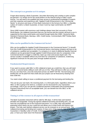#### <span id="page-5-0"></span>**The concept is as genuine as it is unique.**

Forget about leasing a Bank Guarantee. Securities Borrowing and Lending is quite complex but genuine. It is simply not for the usual brokers on the internet trying to make a quick fortune. You will need to be qualified and have access to professional knowledge of experts and their expertise and experience with "Applied Credit Enhancement in the Commercial Sector" to structure and issue a Prime Bank Instrument in the format of an SBLC, a Standby Letters of Credit or a Bank Guarantee, to have it sent by major world banks via SWIFT MT760.

Since HNW investor with enormous cash holdings always have their accounts in Prime World Banks, the collateral Instrument that you can borrow and the investor will lend to you is supported by first class world banks and issued through banks like HSBC, Deutsche Bank, Standard Chartered Bank, Barclays, UBS, Credit Suisse, Commerzbank, BNP Paribas Bank and JP Morgan Chase.

### <span id="page-5-1"></span>**Who can be qualified in the Commercial Sector?**

Who can be qualified for Applied Credit Enhancement in the Commercial Sector? To benefit from this Credit Enhancement in the Commercial Sector a borrowing company will have to be of substance, qualified and acceptable. If a company is in need of additional liquidity financial collateral can be generated through applied Credit Enhancement also for companies in the Commercial Sector to trigger a credit line, back up a loan and access liquid cash. The service usually is available without any front fees for companies of substance, evidencing significant revenues for the past years through audited accounts.

#### <span id="page-5-2"></span>**Fundamental Requirements**

If you want to access valid SBLC or BG collateral to back up a credit line, then you will need a bank, or several banks willing to work with you on this. They will have to offer you a credit line you can draw from, once the instrument arrives via SWIFT MT760. The borrowing and lending fee can be paid from that credit and your project can be financed by drawing from that credit line.

You need a bank willing to issue a conditional payment for the borrowing and lending fee.

This can be your own bank, the receiving bank, or a third party bank, regardless where your SBLC or BG is going to be stent to, a solution can be structured for your transaction accordingly. Only if you can get this conditional payment confirmation (the Essential Bank Payment Instrument) from an acceptable bank, you can benefit from this SBLC or BG collateral service.

#### <span id="page-5-3"></span>**Timing is of the essence in all aspects of this transaction!**

The Bank Guarantee instrument will be valid for 365 days. It will be fully cash backed, divisible and assignable. During the agreed collateral borrowing and lending time, you will have the unconditional use of the Financial Instrument. It is a valid, fully cash backed guarantee which backs up your credit line and allows you to draw funds and finance your project. This fully cash backed collateral service can be renewed on an annual basis. The collateral borrowing and lending term expires 15 days prior of the maturity date of the Bank Guarantee or Standby Letter of Credit. At that time you can ask for an extension for another year, or have your bank return the financial instrument unencumbered.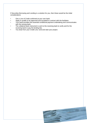If Securities Borrowing and Lending is a solution for you, then these would be the initial considerations

- Get a Line of Credit confirmed at your own bank.
- Apply to qualify to be approved and accepted to contract with the facilitator.
- Your bank provides the essential conditional payment undertaking and communicates with the issuing bank.
- The collateral bank instrument is sent to the receiving bank to verify and for the receiving bank to pay the lending fee.
- You draw from your Credit Line, fund and start your project.

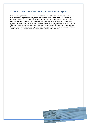# <span id="page-7-0"></span>**SECTION 2 - You have a bank willing to extend a loan to you?**

Your receiving bank has to consent to all the terms of the transaction. Your bank has to be informed and in agreement that you borrow collateral in the form of an SBLC or a Bank Guarantee to back up a loan. The availability of such collateral is always for a pre-defined term, usually for 350 days, and your qualification for Applied Credit Enhancement in the Commercial Sector is heavily weighted toward your project and your own credit worthiness. The aim of the service is to increase the company's capital stack to enable project funding. During the project building and implementation process, equity increases in value within the capital stack and eliminates the requirement for (borrowed) collateral.

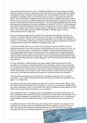The receiving bank will have to issue a conditional payment for the borrowing and lending charges and they will have to guarantee for the safe return of the collateral after the agreed upon period of time. Securities will be advised to the receiving bank in the form of a Bank Guarantee or Standby Letter of Credit which will be issued by a top rated world bank via SWIFT MT760 and will be available unrestricted to be used as collateral during the lending period and as to contract. Conditional Payment of the Borrowing and Lending Fee has to be issued or endorsed by the client's receiving bank. The client's bank releases payment for the Borrowing and Lending Fees only after verification of the SWIFT MT760. The receiving bank now has the required collateral and the borrower can draw cash to start his project. 15 days prior of the maturity date, the BG or SBLC service is renewed on the same terms for another year, or the client's bank returns the Bank Guarantee or Standby Letter of Credit unencumbered to the issuing bank.

Once your bank is in agreement to support your transaction accordingly, a Provider, an Investor or Facilitator will lend collateral to you on the basis of a Securities Borrowing and Lending Agreement. Through such a contractual agreement, the Provider, the Facilitator, an Investor or a Securities Lender wants to make sure that he is paid a lending fee and that the receiving bank will return the collateral at the agreed upon time.

Your bank definitely will have to consent to the transaction and you will have to accept standard procedures if you wish to apply Credit Enhancement in the commercial sector. You will have to ask your bank to consent to the Collateral Lending and Borrowing transaction and to their agreement to issue or endorse any of the 4 optional and conditional payment undertakings that can be used in this transaction. If your bank agrees, highly rated publicly listed securities will be selected and allocated. These top rated securities will build the basis of the Securities Borrowing and Lending Agreement, and the financial instrument that will be issued for you.

For your transaction, clearly identified, top rated, publicly traded and listed prime bank securities are ordered by a Securities Dealer on the secondary market for your transaction and are placed into their securities account and paid for simultaneously as these securities are advised to your receiving bank (in the format of a Bank Guarantee of Standby Letter of Credit, cash backed by the investor's cash funds and these securities and your receiving bank pays for the agreed lending and borrowing fee only after receipt and verification.

The instruments backing up your transaction are ultimately purchased for your specific transaction. This is why the client (the borrower) will have to commit to the transaction and place a commitment fee.

No investor would want to buy specific securities for you and to your benefit, without a firm and valid financial commitment to the transaction. If you are not considered a qualified client, you will be requested to place a Commitment Fee and the Collateral Provider places the Call Option Fee to secure these Securities for your transaction.

The Collateral Provider or Facilitator places a Call Option to buy these securities after you have committed to the transaction and you transferred this small share to the facilitator in the form of a fully refundable Commitment Fee. You will be provided with a Pro- Forma Invoice with full details of the securities that will back up the transaction for the receiving bank to verify.

A Conditional Payment of the Borrowing and Lending Fee is required to be issued or to be endorsed by your bank. After the commitment fee has been placed, you have 20 days to have your bank send the agreed conditional payment as to the instructions given in the Securities Borrowing and Lending Agreement as instructed by the Provider.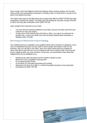Upon receipt, and if due diligence performed between banks remains positive, the Provider sends a fully cash backed Bank Guarantee or Standby Letter of Credit which is issued on the back of the agreed securities.

The client's bank pays for the Borrowing and Lending Fees after the SWIFT MT760 has been transmitted, received and verified. You bank pays the lending fee only after receipt of the BG or SBLC and only after verification of the SWIFT MT760.

Upon receipt of the instrument at your bank:

- You now have the required collateral in your bank, and you can draw cash from your credit line to start your project.
- 15 days prior of the maturity date of the BG or SBLC, you ask for an extension for another year, or have your bank return the Securities backed Bank Guarantee or Standby Letter of Credit.

### <span id="page-9-0"></span>**Borrowing of Collateral for Project Funding**

This collateral service is available to any qualified clients with a business of substance. If you have an established business and you want to start a project and require a loan for this business, then you will talk to your bank. Since your bank worked with you probably for years, they like to work with you on your project as well. But to extend a loan, they may ask you for collateral which you may not have. In that case, you should talk to them about the collateral that can be available to you.

- backed by top rated securities and the investor's (lender's) cash
- delivered to your acceptable receiving bank
- for an agreed period of time
- on the basis of a Securities Borrowing and Lending
- delivered in the form of an SBLC or a Bank Guarantee issued by a top rated bank
- transmitted via SWIFT MT760

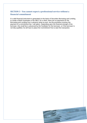# <span id="page-10-0"></span>**SECTION 3 - You cannot expect a professional service without a financial commitment**

If a valid financial instrument is generated on the basis of Securities Borrowing and Lending, to create a Bank Guarantee or the SBLC for a client, there are no payments for the Borrowing and Lending Fee in advance what-so-ever, but the procedure involves the payment of a commitment fee / call option. Depending upon the financial strength of the borrower, this small fee is advanced by the Facilitator for the borrower, or if the borrower is not fully qualified, he will have to place the Commitment Fee to start the transaction.

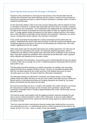## <span id="page-11-0"></span>**Reserving the back-up Security through a Call Option**

Payment of this commitment is necessary for two reasons: Once the Securities that will underpin the transaction have been selected and the Lender or investor must purchase the instrument to generate the basis on which the Bank Guarantee or Standby Letter of Credit is emitted for the Borrower.

On the Secondary Market, which is the main security trading place with the highest turnover, a Call Option is placed for a specific high rated debt instrument which an investor is going to buy and lend to your transaction. Your Commitment Fee respectively the Call Option secures the right for the Investor to purchase the instrument within 20 days at a specific purchase price. To hedge against market fluctuations the Call Option is placed and this is the reason why a client will have to financially commit himself to the transaction. Obviously, you cannot access a professional service without a firm financial commitment.

If the Lender purchases the Securities for a client's transaction and the client does not perform, respectively the client's bank does not follow up with the required and agreed upon conditional payment instrument to account for the Borrowing and Lending Fees, this could create a significant loss for the Lender.

When both parties sign the Securities Borrowing and Lending Agreement, the client has 20 days to send, as instructed by the Lender, the necessary payment guarantee, which is conditional to the delivery of the agreed upon instrument and its verification at the receiving bank. Only after receipt and verification of the instrument by the Borrower's bank, payment will be effected and released to the securities Lender.

With the payment of the call option, the purchase price is fixed during this 20 day time period in which a client has to arrange one of the 4 conditional payment instruments that he and his bank prefer to use.

The Securities that will be backing up a client's transaction are trading in the secondary market and their price changes minute by minute. The price of securities fluctuates daily. With the call option placed by the Lender and even if the publicly listed price for these securities goes up or down, the price is fixed for a Borrower's transaction.

The Securities backing up a Borrower's transaction are already issued, on the market, publicly listed and traded. But they are not yet in the Lender's Securities account. MTNs and Bonds used for a Securities Borrowing and Lending transaction are issued by Top Rated Banks and therefore the Securities are top rated.

But since the Securities are not in a Lender's own portfolio, the Lender will have to purchase the instruments to enable and back up the emission and to generate a specific Bank Guarantee of Standby Letter of Credit as agreed between the Lender, the Borrower and the Borrower's bank.

The financial assets used together with the applied procedure represent probably the only way to access a Bank Guarantee or SBLC from a third party, to serve as valid collateral during the agreed period of time, without the Borrower being required to deposit equal value (or more) in a bank.

There are many borrowers searching the financial market place believing they can access any professional service, or a valid financial service or Bank Guarantee service without any money up front. It is a fact – there is simply no free ride available.

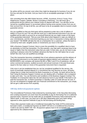No airline will fly you around, even when they might be desperate for business if you do not first buy and pay for the ticket. And you have to be an acceptable passenger in the first place.

Ask consulting firms like IBM Global Services, KPMG, Accenture, Ernst & Young, Price Waterhouse Coopers, Deloitte, Boston Consulting or McKinsey. You will never get a professional service without your retainer funds on deposit with them. You will also not be served by a qualified lawyer or accountant without having some earnest money from you on their account first. On top of all this, you will have to be an acceptable client to receive a bank guarantee service.

Are you qualified so that any third party will be prepared to enter into a risk of millions of dollars or Euros for you? No one will ever lend you a valid financial instrument if you are not qualified and be able to account for an eventual financial risk you might create on the basis of the guarantee instrument. "Did you ever think about what happens in case you default on your commitments, and the instrument backing up your loan or transaction is being called by your lender?" NO BANK will take the risk on a transaction for a customer, unless the bank is covered by hard cash, tangible assets or investments you have in the bank.

With a Business Support Contract, there is even the possibility for a qualified client to have an absolutely no front fee transaction. For this scenario, your last year's revenues have to be equal or higher than the instrument value that you seek. In that case, you do not have to pay anything in advance since the Facilitator advances the fees for the Call Option fee on your behalf: But only if you are qualified accordingly.

Then this transaction becomes completely free of any advance payments and the delivery of the financial instrument is on the basis of payment against delivery and verification, if the BORROWER's own company will receive the BG or SBLC and if it is of substance, with an active commercial business, audited accounts and annual revenues in the past fiscal year, equal to the face value (or more) of the guarantee instrument that is requested.

Only once it can be established that you can be considered qualified for the service, the issue of eventually required deposit or a commitment fee may become an issue. All banks charge fees to create and transmit the Bank Guarantee to a Funder. No bank will do that for free! Using the Business Support Contract you are dealing with a Facilitator who is prepared to take such risks. You can find terms and conditions of the Business Support Contract The Facilitator of a transaction takes the risk and advances fund on your behalf. If the bank is not paid the transaction fee, no Bank Guarantee or Standby Letter of Credit will ever be sent. If you are not prepared to engage with your financial commitment to the transaction, you simply will not get a valid service from anybody.

#### <span id="page-12-0"></span>**180 day deferred payment option**

The Unconditional Promissory Note endorsed by receiving bank. In the Securities Borrowing and Lending transaction you even have the possibility to pay for Borrowing Fee on a deferred payment basis. Payment can be made with an acceptable Promissory Note endorsed by the client's bank. In that case, you have up to 180 days (depending upon your bank rating) opposed to other payment methods to pay for the borrowing and lending fees.

These other payment modes are a Conditional Irrevocable Pay Order (ICPO) endorsed by borrower's bank, a Conditional Payment via SWIFT MT103 or a Conditional Documentary Credit to be sent by SWIFT MT 700- All payment options have to be acceptable and approved by the collateral lender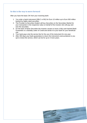# <span id="page-13-0"></span>**So this is the way to move forward**

After you have the basic OK from your receiving bank:

- 1. You order a bank instrument (SBLC or BG) for Euro 10 million up to Euro 500 million backed by highly rated securities.
- 2. The Provider (a Securities Dealer) will buy Securities on the Secondary Market for your transaction in the respective value on behalf of the investor who will pay and own the securities.
- 3. On the back of these Securities the investor causes to issue a fully cash backed Bank Guarantee or a Standby Letter of Credit and sends it to your bank for your beneficial use.
- 4. Your bank pays only the service fee for the use of the instrument for one year.
- 5. After 350 days your bank guarantees to return the instrument unencumbered or you opt to renew the service, which can be for up to 4 more years.

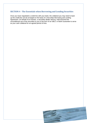# <span id="page-14-0"></span>**SECTION 4 - The Essentials when Borrowing and Lending Securities**

Once you have negotiated a credit line with your bank, the collateral you may need to back up the credit line can be arranged on the basis of a Securities Borrowing and Lending Agreement. On behalf of an investor, a securities dealer will buy, hold and lend the unconditional use of the securities to you in the form of an SBLC or Bank Guarantee to serve as your cash collateral for an agreed period of time.

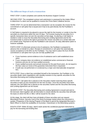### <span id="page-15-0"></span>**The different Steps of such a transaction**

FIRST STEP: A client completes and submits the Business Support Contract

SECOND STEP: The completed contract and submission is assessed by the Intake Officer to determine if a client can be qualified to receive this Prime Bank Collateral Service.

THIRD STEP: If it can be determined that a transaction can be accepted, the invoice for the commitment or call option fee is issued and it has to be paid directly into the Facilitator's account.

A Call Option is required to be placed to secure the right for the Investor or Lender to buy the securities at a fixed price within the next 20 days. The Investor buying the securities for a specific transaction does not own the securities at that stage. So placing a Call Option is needed in order to issue the Securities Borrowing and Lending Agreement and for the Investor/Lender to reserve the right to purchase the chosen securities at a certain date and at a certain price. Payment is into the Facilitator's own account. An easy alternative option is however available.

FORTH STEP: If a Borrower proves to be of substance, the Facilitator is prepared to advance this on behalf of a client. Receipt of commitment or call option fee automatically causes acceptance to the BSC by the Facilitator. You may need to place the Euro 30,000 commitment or call option fee if you are not fully qualified and

- if your business cannot evidence to be of substance and is well established since years
- if your company does not evidence an established active commercial or financial business and you do not have audited accounts
- if your audited accounts and annual revenues for the past fiscal years, do not equal to the face value (or more) of the guarantee instrument that is requested
- if audit was not performed or is endorsed by a major and internationally recognized firm.

FIFTH STEP: Once a client has committed himself to the transaction, the Facilitator or his securities dealer starts negotiations with standby investors to buy specific securities for this Securities Borrowing and Lending transaction.

SIXTH STEP: Call option fee is placed on the Securities market reserving these specific securities to back up your transaction for the next 20 days. Once the securities have been selected, the Call Option fee is placed on the securities market and the Securities Borrowing and Lending Agreement can be issued.

SEVENTH STEP: The Securities Borrowing and Lending Agreement is issued and sent to the borrower client together with all information to clearly identify the securities that will build the basis on which the BG or SBLC will be issued for the client.

At this stage, the client will then have all details of these securities and can request Bloomberg Printout, Security Card of the Stock Exchange market where the instrument is quoted, Prospectus of the Issuing Program of the Bank to permit the designated Borrower's Bank Officer to check the availability on Euroclear, Clearstream or the Bloomberg systems.

EIGHTH STEP: Within 20 days, client's bank sends the conditional payment instrument to pay for the borrowing and lending fees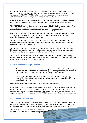If the client's bank issues or endorses any of the 4 conditional payment methods to pay for the Borrowing and Lending fees, the I C P O, Promissory Note, conditional SWIFT MT103, conditional DLC SWIFT MT 700, and provides a confirmation for the safe return of the collateral after the agreed term, then we can guarantee to deliver.

NINETH STEP: Issuing and Receiving Bank communicate to fine tune the SWIFT MT760 delivery of the instrument and perform their own due diligence on the parties involved.

TENTH STEP: Receiving Bank consents to return the SBLC/BG 15 days prior maturity The receiving bank must undertake the irrevocable commitment to return the instrument unencumbered, free and clear of any debts or claims 15 days prior maturity.

ELEVENTH STEP: In this Securities Borrowing and Lending transaction, the issuing bank sends the agreed SBLC or BG via SWIFT MT 760 to the receiving bank in line with the Securities Borrowing and Lending Agreement.

THE TWELVTH STEP The Receiving Bank verifies the SWIFT MT 760 SBLC or BG instrument and releases payment for the borrowing and lending fees as to the Securities Borrowing and Lending Agreement.

THE THIRTEENTH STEP: With the instrument in his account, the client triggers cash from his credit line and starts his project. He has the unrestricted use of the collateral as to the Securities and Borrowing Agreement for the coming 350 days.

THE FORTEENTH STEP: Fifteen days prior maturity, the client is given the opportunity to extend the service for another year. If the client does not need the instrument any longer, the client's bank returns the SBLC/BG after 350 days.

#### <span id="page-16-0"></span>**Basic and Essential Requirements**

- Consent to any of the 4 conditional payment options. You will have to get this support from any of your banks to pay for the borrowing and lending fee and issue or endorse any of the payment instruments to pay conditionally for the lending fee..
- Your receiving bank will have to be in agreement with the verbiage of the Standby Letter of Credit, or a Bank Guarantee as available to serve as your collateral for the agreed period of time.

For selective clients, there may be a Solution for any of these issues:

If you may not want to disclose full details of this transaction to your receiving bank, if you do not want to fully disclose that your collateral is a result from a borrowing and lending transaction, if you do not want to disclose that the guarantee instrument is to be returned 15 days prior maturity, if you require a SWIFT MT799 Pre-Advice to get your transaction started.

### <span id="page-16-1"></span>**Back to back transactions**

Since it is fully cash backed, divisible and assignable, you can use this instrument also in a back to back transaction to issue your own instruments on the back of our instrument. This can leverage your own financial possibilities and overcome "certain contractual issues".

The instrument can also be sent to a monetizer, but again, the monetizer 's receiving bank will have to endorse all the contractual agreements.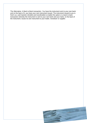The Alternative: A Back to Back transaction. You have the instrument sent to your own bank and on the back of it, you have your own instrument issued. The instrument issued to you is fresh cut, cash backed, divisible and transferable to enable this option or a back to back transaction whereby the instrument is sent to your own bank and your bank, on the back of the instrument, issues its own instrument to your trader, monetizer or supplier.

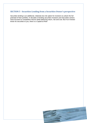# <span id="page-18-0"></span>**SECTION 5 - Securities Lending from a Securities Owner's perspective**

Securities lending is an additional, relatively low-risk option for investors to unlock the full potential of their portfolio. In decades of lending securities Investors and Securities owners have focused on competitive returns while balancing return, risk and cost. But if an Investor lends his securities to you, there is a Capital at Risk!

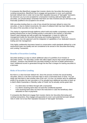If companies like BlackRock engage their investor clients into Securities Borrowing and Lending transactions, BlackRock has to engage and guarantee to cover such potential borrower default risks in order not to lose their reputation because of "bad apple" borrowers. So whenever you try to be accepted for a transaction involving valid and highly rated securities, you should always remember that there are risks involved and you will have to be financially qualified to be accepted to be served.

With securities lending there is a risk of loss should the borrower default to return the securities, or due to market movements, the value of collateral held may have fallen and/or the value of the securities on loan has risen.

The market is organised through platforms which build and enable a proprietary securities lending infrastructure so that a lending activity is executed in the Investor or Securities Owner's best interests and with prudent risk management. A basis for skilful risk management builds the Securities Borrowing and Lending Agreement. There is a conservative, low-risk approach and the integration of capabilities of our dedicated research, trading and risk management.

Only highly creditworthy borrowers based on conservative credit standards defined by a risk assessment team can qualify and are considered to be served in this Securities Borrowing and Lending Transaction.

### <span id="page-19-0"></span>**Benefits of Securities Lending**

Securities lending is a way to unlock additional value of a portfolio of an Investor or Securities Owner. The Securities Lender will collect higher returns than would otherwise be received. Investors may benefit from securities lending in the form of better performance. How? Additional income is generated through the fee that it charges for loaning securities to a borrower.

# <span id="page-19-1"></span>**Risks of Securities Lending**

But there is a clear borrower default risk. Since the process involves the actual lending securities, there is a risk that a borrower fails to return a borrowed stock or bond. You can easily see that there is also another side of the coin. It is true, an investor aims for additional profits if he provides his own securities or if he actually buys additional securities to back up a client's Bank Guarantee or Standby Letter of Credit, but he actually carries great risks:

- if a client does not follow through with a transaction
- if a client's receiving bank does not send the conditional payment
- if the receiving bank does not return the instrument in case the beneficiary client defaulted on loan re-payments

If companies like Blackrock engage their investor clients into Securities Borrowing and Lending transactions, they engage and guarantee to cover such potential borrower default risks in order not to lose their reputation because of "bad apple" borrowers.